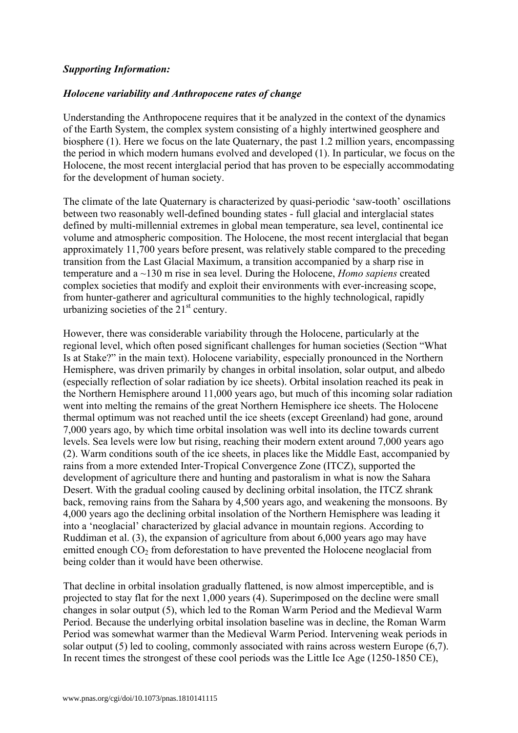## *Supporting Information:*

#### *Holocene variability and Anthropocene rates of change*

Understanding the Anthropocene requires that it be analyzed in the context of the dynamics of the Earth System, the complex system consisting of a highly intertwined geosphere and biosphere (1). Here we focus on the late Quaternary, the past 1.2 million years, encompassing the period in which modern humans evolved and developed (1). In particular, we focus on the Holocene, the most recent interglacial period that has proven to be especially accommodating for the development of human society.

The climate of the late Quaternary is characterized by quasi-periodic 'saw-tooth' oscillations between two reasonably well-defined bounding states - full glacial and interglacial states defined by multi-millennial extremes in global mean temperature, sea level, continental ice volume and atmospheric composition. The Holocene, the most recent interglacial that began approximately 11,700 years before present, was relatively stable compared to the preceding transition from the Last Glacial Maximum, a transition accompanied by a sharp rise in temperature and a ~130 m rise in sea level. During the Holocene, *Homo sapiens* created complex societies that modify and exploit their environments with ever-increasing scope, from hunter-gatherer and agricultural communities to the highly technological, rapidly urbanizing societies of the  $21<sup>st</sup>$  century.

However, there was considerable variability through the Holocene, particularly at the regional level, which often posed significant challenges for human societies (Section "What Is at Stake?" in the main text). Holocene variability, especially pronounced in the Northern Hemisphere, was driven primarily by changes in orbital insolation, solar output, and albedo (especially reflection of solar radiation by ice sheets). Orbital insolation reached its peak in the Northern Hemisphere around 11,000 years ago, but much of this incoming solar radiation went into melting the remains of the great Northern Hemisphere ice sheets. The Holocene thermal optimum was not reached until the ice sheets (except Greenland) had gone, around 7,000 years ago, by which time orbital insolation was well into its decline towards current levels. Sea levels were low but rising, reaching their modern extent around 7,000 years ago (2). Warm conditions south of the ice sheets, in places like the Middle East, accompanied by rains from a more extended Inter-Tropical Convergence Zone (ITCZ), supported the development of agriculture there and hunting and pastoralism in what is now the Sahara Desert. With the gradual cooling caused by declining orbital insolation, the ITCZ shrank back, removing rains from the Sahara by 4,500 years ago, and weakening the monsoons. By 4,000 years ago the declining orbital insolation of the Northern Hemisphere was leading it into a 'neoglacial' characterized by glacial advance in mountain regions. According to Ruddiman et al. (3), the expansion of agriculture from about 6,000 years ago may have emitted enough  $CO<sub>2</sub>$  from deforestation to have prevented the Holocene neoglacial from being colder than it would have been otherwise.

That decline in orbital insolation gradually flattened, is now almost imperceptible, and is projected to stay flat for the next 1,000 years (4). Superimposed on the decline were small changes in solar output (5), which led to the Roman Warm Period and the Medieval Warm Period. Because the underlying orbital insolation baseline was in decline, the Roman Warm Period was somewhat warmer than the Medieval Warm Period. Intervening weak periods in solar output (5) led to cooling, commonly associated with rains across western Europe (6,7). In recent times the strongest of these cool periods was the Little Ice Age (1250-1850 CE),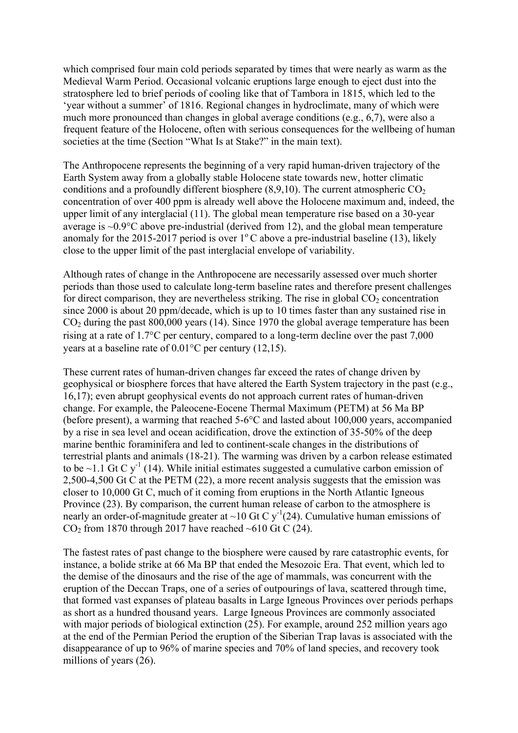which comprised four main cold periods separated by times that were nearly as warm as the Medieval Warm Period. Occasional volcanic eruptions large enough to eject dust into the stratosphere led to brief periods of cooling like that of Tambora in 1815, which led to the 'year without a summer' of 1816. Regional changes in hydroclimate, many of which were much more pronounced than changes in global average conditions (e.g., 6,7), were also a frequent feature of the Holocene, often with serious consequences for the wellbeing of human societies at the time (Section "What Is at Stake?" in the main text).

The Anthropocene represents the beginning of a very rapid human-driven trajectory of the Earth System away from a globally stable Holocene state towards new, hotter climatic conditions and a profoundly different biosphere  $(8,9,10)$ . The current atmospheric  $CO<sub>2</sub>$ concentration of over 400 ppm is already well above the Holocene maximum and, indeed, the upper limit of any interglacial (11). The global mean temperature rise based on a 30-year average is ~0.9°C above pre-industrial (derived from 12), and the global mean temperature anomaly for the 2015-2017 period is over  $1^{\circ}$ C above a pre-industrial baseline (13), likely close to the upper limit of the past interglacial envelope of variability.

Although rates of change in the Anthropocene are necessarily assessed over much shorter periods than those used to calculate long-term baseline rates and therefore present challenges for direct comparison, they are nevertheless striking. The rise in global  $CO<sub>2</sub>$  concentration since 2000 is about 20 ppm/decade, which is up to  $10$  times faster than any sustained rise in  $CO<sub>2</sub>$  during the past 800,000 years (14). Since 1970 the global average temperature has been rising at a rate of 1.7°C per century, compared to a long-term decline over the past 7,000 years at a baseline rate of 0.01°C per century (12,15).

These current rates of human-driven changes far exceed the rates of change driven by geophysical or biosphere forces that have altered the Earth System trajectory in the past (e.g., 16,17); even abrupt geophysical events do not approach current rates of human-driven change. For example, the Paleocene-Eocene Thermal Maximum (PETM) at 56 Ma BP (before present), a warming that reached 5-6°C and lasted about 100,000 years, accompanied by a rise in sea level and ocean acidification, drove the extinction of 35-50% of the deep marine benthic foraminifera and led to continent-scale changes in the distributions of terrestrial plants and animals (18-21). The warming was driven by a carbon release estimated to be  $\sim$ 1.1 Gt C y<sup>-1</sup> (14). While initial estimates suggested a cumulative carbon emission of 2,500-4,500 Gt C at the PETM (22), a more recent analysis suggests that the emission was closer to 10,000 Gt C, much of it coming from eruptions in the North Atlantic Igneous Province (23). By comparison, the current human release of carbon to the atmosphere is nearly an order-of-magnitude greater at ~10 Gt C y<sup>-1</sup>(24). Cumulative human emissions of  $CO<sub>2</sub>$  from 1870 through 2017 have reached ~610 Gt C (24).

The fastest rates of past change to the biosphere were caused by rare catastrophic events, for instance, a bolide strike at 66 Ma BP that ended the Mesozoic Era. That event, which led to the demise of the dinosaurs and the rise of the age of mammals, was concurrent with the eruption of the Deccan Traps, one of a series of outpourings of lava, scattered through time, that formed vast expanses of plateau basalts in Large Igneous Provinces over periods perhaps as short as a hundred thousand years. Large Igneous Provinces are commonly associated with major periods of biological extinction (25). For example, around 252 million years ago at the end of the Permian Period the eruption of the Siberian Trap lavas is associated with the disappearance of up to 96% of marine species and 70% of land species, and recovery took millions of years (26).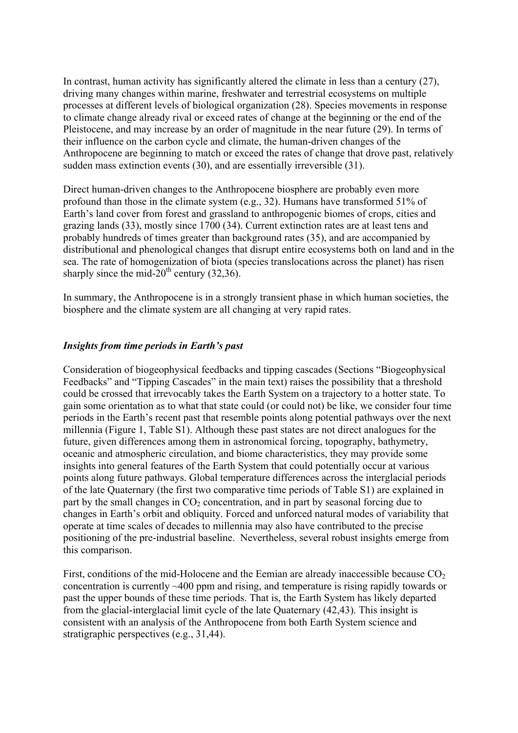In contrast, human activity has significantly altered the climate in less than a century (27), driving many changes within marine, freshwater and terrestrial ecosystems on multiple processes at different levels of biological organization (28). Species movements in response to climate change already rival or exceed rates of change at the beginning or the end of the Pleistocene, and may increase by an order of magnitude in the near future (29). In terms of their influence on the carbon cycle and climate, the human-driven changes of the Anthropocene are beginning to match or exceed the rates of change that drove past, relatively sudden mass extinction events (30), and are essentially irreversible (31).

Direct human-driven changes to the Anthropocene biosphere are probably even more profound than those in the climate system (e.g., 32). Humans have transformed 51% of Earth's land cover from forest and grassland to anthropogenic biomes of crops, cities and grazing lands (33), mostly since 1700 (34). Current extinction rates are at least tens and probably hundreds of times greater than background rates (35), and are accompanied by distributional and phenological changes that disrupt entire ecosystems both on land and in the sea. The rate of homogenization of biota (species translocations across the planet) has risen sharply since the mid- $20^{th}$  century (32,36).

In summary, the Anthropocene is in a strongly transient phase in which human societies, the biosphere and the climate system are all changing at very rapid rates.

## *Insights from time periods in Earth's past*

Consideration of biogeophysical feedbacks and tipping cascades (Sections "Biogeophysical Feedbacks" and "Tipping Cascades" in the main text) raises the possibility that a threshold could be crossed that irrevocably takes the Earth System on a trajectory to a hotter state. To gain some orientation as to what that state could (or could not) be like, we consider four time periods in the Earth's recent past that resemble points along potential pathways over the next millennia (Figure 1, Table S1). Although these past states are not direct analogues for the future, given differences among them in astronomical forcing, topography, bathymetry, oceanic and atmospheric circulation, and biome characteristics, they may provide some insights into general features of the Earth System that could potentially occur at various points along future pathways. Global temperature differences across the interglacial periods of the late Quaternary (the first two comparative time periods of Table S1) are explained in part by the small changes in  $CO<sub>2</sub>$  concentration, and in part by seasonal forcing due to changes in Earth's orbit and obliquity. Forced and unforced natural modes of variability that operate at time scales of decades to millennia may also have contributed to the precise positioning of the pre-industrial baseline. Nevertheless, several robust insights emerge from this comparison.

First, conditions of the mid-Holocene and the Eemian are already inaccessible because  $CO<sub>2</sub>$ concentration is currently ~400 ppm and rising, and temperature is rising rapidly towards or past the upper bounds of these time periods. That is, the Earth System has likely departed from the glacial-interglacial limit cycle of the late Quaternary (42,43). This insight is consistent with an analysis of the Anthropocene from both Earth System science and stratigraphic perspectives (e.g., 31,44).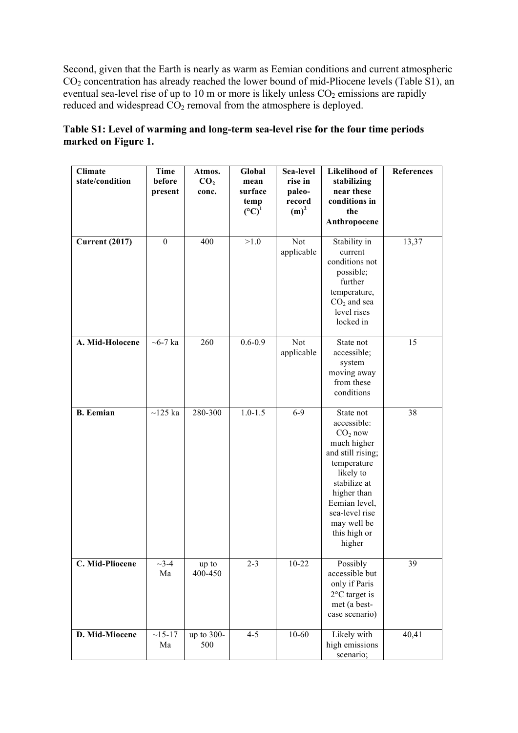Second, given that the Earth is nearly as warm as Eemian conditions and current atmospheric CO2 concentration has already reached the lower bound of mid-Pliocene levels (Table S1), an eventual sea-level rise of up to 10 m or more is likely unless  $CO<sub>2</sub>$  emissions are rapidly reduced and widespread  $CO<sub>2</sub>$  removal from the atmosphere is deployed.

| <b>Climate</b><br>state/condition | Time<br>before<br>present   | Atmos.<br>CO <sub>2</sub><br>conc. | Global<br>mean<br>surface<br>temp<br>$({}^{\circ}C)^{1}$ | Sea-level<br>rise in<br>paleo-<br>record<br>$(m)^2$ | Likelihood of<br>stabilizing<br>near these<br>conditions in<br>the<br>Anthropocene                                                                                                                               | References |
|-----------------------------------|-----------------------------|------------------------------------|----------------------------------------------------------|-----------------------------------------------------|------------------------------------------------------------------------------------------------------------------------------------------------------------------------------------------------------------------|------------|
| <b>Current (2017)</b>             | $\theta$                    | 400                                | $>1.0$                                                   | Not<br>applicable                                   | Stability in<br>current<br>conditions not<br>possible;<br>further<br>temperature,<br>$CO2$ and sea<br>level rises<br>locked in                                                                                   | 13,37      |
| A. Mid-Holocene                   | $~5$ -7 ka                  | 260                                | $0.6 - 0.9$                                              | Not<br>applicable                                   | State not<br>accessible;<br>system<br>moving away<br>from these<br>conditions                                                                                                                                    | 15         |
| <b>B.</b> Eemian                  | $\sim$ 125 ka               | 280-300                            | $1.0 - 1.5$                                              | $6-9$                                               | State not<br>accessible:<br>$CO2$ now<br>much higher<br>and still rising;<br>temperature<br>likely to<br>stabilize at<br>higher than<br>Eemian level,<br>sea-level rise<br>may well be<br>this high or<br>higher | 38         |
| C. Mid-Pliocene                   | $\overline{\sim}$ 3-4<br>Ma | up to<br>400-450                   | $2 - 3$                                                  | $10 - 22$                                           | Possibly<br>accessible but<br>only if Paris<br>$2^{\circ}$ C target is<br>met (a best-<br>case scenario)                                                                                                         | 39         |
| D. Mid-Miocene                    | $~15 - 17$<br>Ma            | up to 300-<br>500                  | $4 - 5$                                                  | $10 - 60$                                           | Likely with<br>high emissions<br>scenario;                                                                                                                                                                       | 40,41      |

| Table S1: Level of warming and long-term sea-level rise for the four time periods |  |  |
|-----------------------------------------------------------------------------------|--|--|
| marked on Figure 1.                                                               |  |  |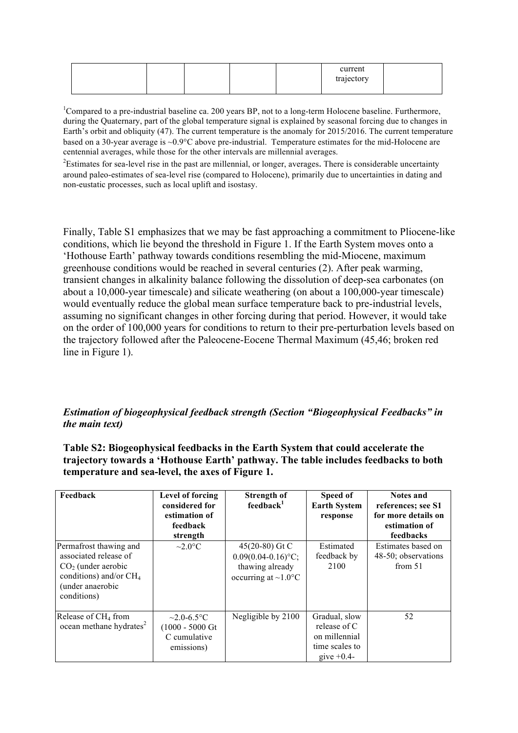|  |  | current<br>trajectory |  |
|--|--|-----------------------|--|
|  |  |                       |  |

<sup>1</sup>Compared to a pre-industrial baseline ca. 200 years BP, not to a long-term Holocene baseline. Furthermore, during the Quaternary, part of the global temperature signal is explained by seasonal forcing due to changes in Earth's orbit and obliquity (47). The current temperature is the anomaly for 2015/2016. The current temperature based on a 30-year average is ~0.9°C above pre-industrial. Temperature estimates for the mid-Holocene are centennial averages, while those for the other intervals are millennial averages.

 $2$ Estimates for sea-level rise in the past are millennial, or longer, averages. There is considerable uncertainty around paleo-estimates of sea-level rise (compared to Holocene), primarily due to uncertainties in dating and non-eustatic processes, such as local uplift and isostasy.

Finally, Table S1 emphasizes that we may be fast approaching a commitment to Pliocene-like conditions, which lie beyond the threshold in Figure 1. If the Earth System moves onto a 'Hothouse Earth' pathway towards conditions resembling the mid-Miocene, maximum greenhouse conditions would be reached in several centuries (2). After peak warming, transient changes in alkalinity balance following the dissolution of deep-sea carbonates (on about a 10,000-year timescale) and silicate weathering (on about a 100,000-year timescale) would eventually reduce the global mean surface temperature back to pre-industrial levels, assuming no significant changes in other forcing during that period. However, it would take on the order of 100,000 years for conditions to return to their pre-perturbation levels based on the trajectory followed after the Paleocene-Eocene Thermal Maximum (45,46; broken red line in Figure 1).

# *Estimation of biogeophysical feedback strength (Section "Biogeophysical Feedbacks" in the main text)*

**Table S2: Biogeophysical feedbacks in the Earth System that could accelerate the trajectory towards a 'Hothouse Earth' pathway. The table includes feedbacks to both temperature and sea-level, the axes of Figure 1.** 

| Feedback                                                                                                                               | Level of forcing<br>considered for<br>estimation of<br>feedback<br>strength   | <b>Strength of</b><br>feedback <sup>1</sup>                                                         | Speed of<br><b>Earth System</b><br>response                                       | <b>Notes and</b><br>references; see S1<br>for more details on<br>estimation of<br>feedbacks |
|----------------------------------------------------------------------------------------------------------------------------------------|-------------------------------------------------------------------------------|-----------------------------------------------------------------------------------------------------|-----------------------------------------------------------------------------------|---------------------------------------------------------------------------------------------|
| Permafrost thawing and<br>associated release of<br>$CO2$ (under aerobic<br>conditions) and/or $CH4$<br>(under anaerobic<br>conditions) | $\sim$ 2.0 $\rm ^{\circ}C$                                                    | $45(20-80)$ Gt C<br>$0.09(0.04-0.16)$ °C;<br>thawing already<br>occurring at $\sim$ 1.0 $\rm ^{o}C$ | Estimated<br>feedback by<br>2100                                                  | Estimates based on<br>48-50; observations<br>from $51$                                      |
| Release of CH <sub>4</sub> from<br>ocean methane hydrates <sup>2</sup>                                                                 | $\sim$ 2.0-6.5 °C<br>$(1000 - 5000 \text{ Gt})$<br>C cumulative<br>emissions) | Negligible by 2100                                                                                  | Gradual, slow<br>release of C<br>on millennial<br>time scales to<br>give $+0.4$ - | 52                                                                                          |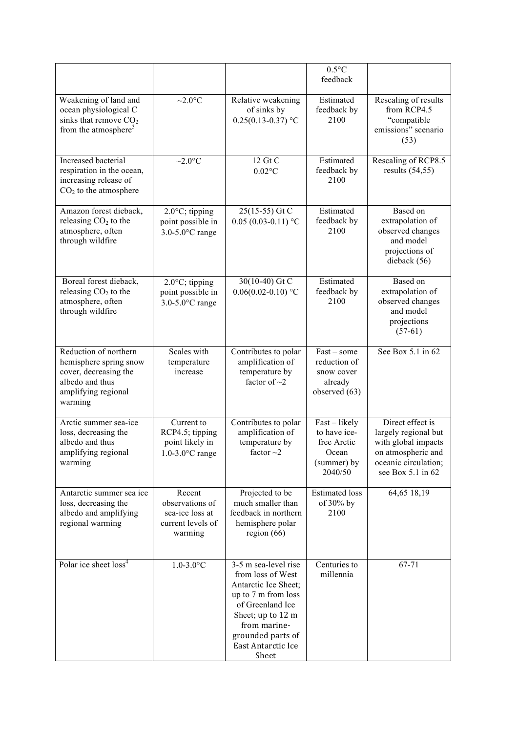|                                                                                                                               |                                                                              |                                                                                                                                                                                                       | $0.5^{\circ}$ C<br>feedback                                                     |                                                                                                                                        |
|-------------------------------------------------------------------------------------------------------------------------------|------------------------------------------------------------------------------|-------------------------------------------------------------------------------------------------------------------------------------------------------------------------------------------------------|---------------------------------------------------------------------------------|----------------------------------------------------------------------------------------------------------------------------------------|
| Weakening of land and<br>ocean physiological C<br>sinks that remove $CO2$<br>from the atmosphere <sup>3</sup>                 | $\sim$ 2.0 $\rm{^{\circ}C}$                                                  | Relative weakening<br>of sinks by<br>$0.25(0.13 - 0.37)$ °C                                                                                                                                           | Estimated<br>feedback by<br>2100                                                | Rescaling of results<br>from RCP4.5<br>"compatible<br>emissions" scenario<br>(53)                                                      |
| Increased bacterial<br>respiration in the ocean,<br>increasing release of<br>$CO2$ to the atmosphere                          | $\sim$ 2.0 $\rm ^{\circ}C$                                                   | 12 Gt C<br>$0.02$ °C                                                                                                                                                                                  | Estimated<br>feedback by<br>2100                                                | Rescaling of RCP8.5<br>results $(54, 55)$                                                                                              |
| Amazon forest dieback,<br>releasing $CO2$ to the<br>atmosphere, often<br>through wildfire                                     | $2.0^{\circ}$ C; tipping<br>point possible in<br>$3.0 - 5.0$ °C range        | 25(15-55) Gt C<br>$0.05(0.03-0.11)$ °C                                                                                                                                                                | Estimated<br>feedback by<br>2100                                                | Based on<br>extrapolation of<br>observed changes<br>and model<br>projections of<br>dieback (56)                                        |
| Boreal forest dieback,<br>releasing $CO2$ to the<br>atmosphere, often<br>through wildfire                                     | $2.0^{\circ}$ C; tipping<br>point possible in<br>$3.0 - 5.0$ °C range        | 30(10-40) Gt C<br>$0.06(0.02 - 0.10)$ °C                                                                                                                                                              | Estimated<br>feedback by<br>2100                                                | Based on<br>extrapolation of<br>observed changes<br>and model<br>projections<br>$(57-61)$                                              |
| Reduction of northern<br>hemisphere spring snow<br>cover, decreasing the<br>albedo and thus<br>amplifying regional<br>warming | Scales with<br>temperature<br>increase                                       | Contributes to polar<br>amplification of<br>temperature by<br>factor of $\sim$ 2                                                                                                                      | $Fast - some$<br>reduction of<br>snow cover<br>already<br>observed (63)         | See Box 5.1 in 62                                                                                                                      |
| Arctic summer sea-ice<br>loss, decreasing the<br>albedo and thus<br>amplifying regional<br>warming                            | Current to<br>RCP4.5; tipping<br>point likely in<br>$1.0 - 3.0$ °C range     | Contributes to polar<br>amplification of<br>temperature by<br>factor $\sim$ 2                                                                                                                         | Fast - likely<br>to have ice-<br>free Arctic<br>Ocean<br>(summer) by<br>2040/50 | Direct effect is<br>largely regional but<br>with global impacts<br>on atmospheric and<br>oceanic circulation;<br>see Box $5.1$ in $62$ |
| Antarctic summer sea ice<br>loss, decreasing the<br>albedo and amplifying<br>regional warming                                 | Recent<br>observations of<br>sea-ice loss at<br>current levels of<br>warming | Projected to be<br>much smaller than<br>feedback in northern<br>hemisphere polar<br>region $(66)$                                                                                                     | <b>Estimated</b> loss<br>of 30% by<br>2100                                      | 64,65 18,19                                                                                                                            |
| Polar ice sheet loss <sup>4</sup>                                                                                             | $1.0 - 3.0$ °C                                                               | 3-5 m sea-level rise<br>from loss of West<br>Antarctic Ice Sheet;<br>up to 7 m from loss<br>of Greenland Ice<br>Sheet; up to 12 m<br>from marine-<br>grounded parts of<br>East Antarctic Ice<br>Sheet | Centuries to<br>millennia                                                       | 67-71                                                                                                                                  |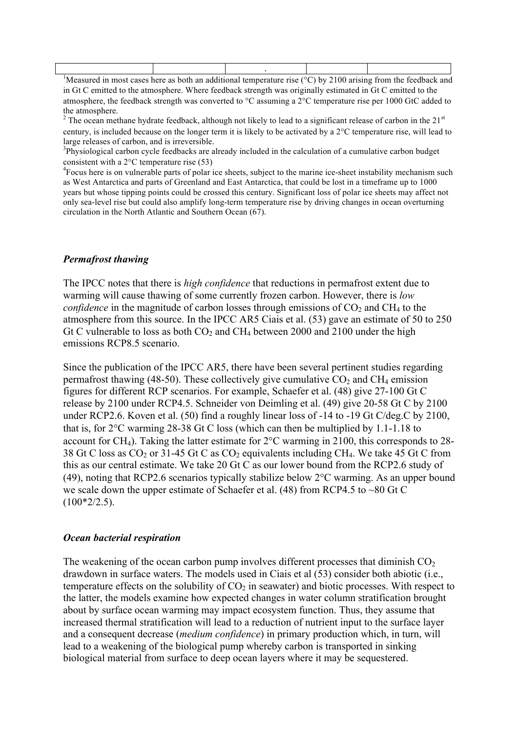| <sup>1</sup> Measured in most cases here as both an additional temperature rise ( $\degree$ C) by 2100 arising from the feedback and |  |  |
|--------------------------------------------------------------------------------------------------------------------------------------|--|--|

in Gt C emitted to the atmosphere. Where feedback strength was originally estimated in Gt C emitted to the atmosphere, the feedback strength was converted to °C assuming a 2°C temperature rise per 1000 GtC added to the atmosphere.

<sup>2</sup> The ocean methane hydrate feedback, although not likely to lead to a significant release of carbon in the  $21<sup>st</sup>$ century, is included because on the longer term it is likely to be activated by a 2°C temperature rise, will lead to large releases of carbon, and is irreversible.

<sup>3</sup>Physiological carbon cycle feedbacks are already included in the calculation of a cumulative carbon budget consistent with a  $2^{\circ}$ C temperature rise (53)

<sup>4</sup>Focus here is on vulnerable parts of polar ice sheets, subject to the marine ice-sheet instability mechanism such as West Antarctica and parts of Greenland and East Antarctica, that could be lost in a timeframe up to 1000 years but whose tipping points could be crossed this century. Significant loss of polar ice sheets may affect not only sea-level rise but could also amplify long-term temperature rise by driving changes in ocean overturning circulation in the North Atlantic and Southern Ocean (67).

#### *Permafrost thawing*

The IPCC notes that there is *high confidence* that reductions in permafrost extent due to warming will cause thawing of some currently frozen carbon. However, there is *low confidence* in the magnitude of carbon losses through emissions of  $CO<sub>2</sub>$  and  $CH<sub>4</sub>$  to the atmosphere from this source. In the IPCC AR5 Ciais et al. (53) gave an estimate of 50 to 250 Gt C vulnerable to loss as both  $CO<sub>2</sub>$  and CH<sub>4</sub> between 2000 and 2100 under the high emissions RCP8.5 scenario.

Since the publication of the IPCC AR5, there have been several pertinent studies regarding permafrost thawing (48-50). These collectively give cumulative  $CO<sub>2</sub>$  and  $CH<sub>4</sub>$  emission figures for different RCP scenarios. For example, Schaefer et al. (48) give 27-100 Gt C release by 2100 under RCP4.5. Schneider von Deimling et al. (49) give 20-58 Gt C by 2100 under RCP2.6. Koven et al. (50) find a roughly linear loss of -14 to -19 Gt C/deg.C by 2100, that is, for 2°C warming 28-38 Gt C loss (which can then be multiplied by 1.1-1.18 to account for CH4). Taking the latter estimate for 2°C warming in 2100, this corresponds to 28- 38 Gt C loss as  $CO_2$  or 31-45 Gt C as  $CO_2$  equivalents including CH<sub>4</sub>. We take 45 Gt C from this as our central estimate. We take 20 Gt C as our lower bound from the RCP2.6 study of (49), noting that RCP2.6 scenarios typically stabilize below 2°C warming. As an upper bound we scale down the upper estimate of Schaefer et al. (48) from RCP4.5 to ~80 Gt C  $(100*2/2.5)$ .

#### *Ocean bacterial respiration*

The weakening of the ocean carbon pump involves different processes that diminish  $CO<sub>2</sub>$ drawdown in surface waters. The models used in Ciais et al (53) consider both abiotic (i.e., temperature effects on the solubility of  $CO<sub>2</sub>$  in seawater) and biotic processes. With respect to the latter, the models examine how expected changes in water column stratification brought about by surface ocean warming may impact ecosystem function. Thus, they assume that increased thermal stratification will lead to a reduction of nutrient input to the surface layer and a consequent decrease (*medium confidence*) in primary production which, in turn, will lead to a weakening of the biological pump whereby carbon is transported in sinking biological material from surface to deep ocean layers where it may be sequestered.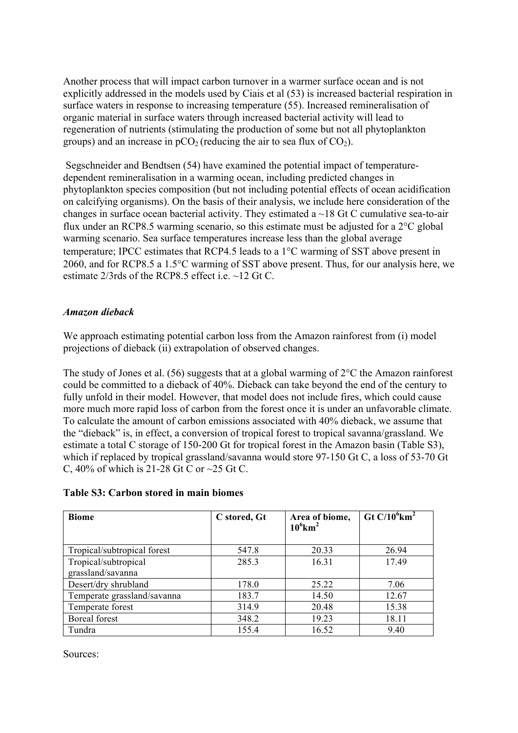Another process that will impact carbon turnover in a warmer surface ocean and is not explicitly addressed in the models used by Ciais et al (53) is increased bacterial respiration in surface waters in response to increasing temperature (55). Increased remineralisation of organic material in surface waters through increased bacterial activity will lead to regeneration of nutrients (stimulating the production of some but not all phytoplankton groups) and an increase in  $pCO<sub>2</sub>$  (reducing the air to sea flux of  $CO<sub>2</sub>$ ).

Segschneider and Bendtsen (54) have examined the potential impact of temperaturedependent remineralisation in a warming ocean, including predicted changes in phytoplankton species composition (but not including potential effects of ocean acidification on calcifying organisms). On the basis of their analysis, we include here consideration of the changes in surface ocean bacterial activity. They estimated a  $\sim$ 18 Gt C cumulative sea-to-air flux under an RCP8.5 warming scenario, so this estimate must be adjusted for a 2°C global warming scenario. Sea surface temperatures increase less than the global average temperature; IPCC estimates that RCP4.5 leads to a 1°C warming of SST above present in 2060, and for RCP8.5 a 1.5°C warming of SST above present. Thus, for our analysis here, we estimate 2/3rds of the RCP8.5 effect i.e. ~12 Gt C.

# *Amazon dieback*

We approach estimating potential carbon loss from the Amazon rainforest from (i) model projections of dieback (ii) extrapolation of observed changes.

The study of Jones et al. (56) suggests that at a global warming of  $2^{\circ}$ C the Amazon rainforest could be committed to a dieback of 40%. Dieback can take beyond the end of the century to fully unfold in their model. However, that model does not include fires, which could cause more much more rapid loss of carbon from the forest once it is under an unfavorable climate. To calculate the amount of carbon emissions associated with 40% dieback, we assume that the "dieback" is, in effect, a conversion of tropical forest to tropical savanna/grassland. We estimate a total C storage of 150-200 Gt for tropical forest in the Amazon basin (Table S3), which if replaced by tropical grassland/savanna would store 97-150 Gt C, a loss of 53-70 Gt C,  $40\%$  of which is 21-28 Gt C or  $\sim$  25 Gt C.

| <b>Table S3: Carbon stored in main biomes</b> |  |  |  |  |  |
|-----------------------------------------------|--|--|--|--|--|
|-----------------------------------------------|--|--|--|--|--|

| <b>Biome</b>                | C stored, Gt | Area of biome,<br>$10^6$ km <sup>2</sup> | Gt C/10 $^6$ km <sup>2</sup> |
|-----------------------------|--------------|------------------------------------------|------------------------------|
| Tropical/subtropical forest | 547.8        | 20.33                                    | 26.94                        |
| Tropical/subtropical        | 285.3        | 16.31                                    | 17.49                        |
| grassland/savanna           |              |                                          |                              |
| Desert/dry shrubland        | 178.0        | 25.22                                    | 7.06                         |
| Temperate grassland/savanna | 183.7        | 14.50                                    | 12.67                        |
| Temperate forest            | 314.9        | 20.48                                    | 15.38                        |
| Boreal forest               | 348.2        | 19.23                                    | 18.11                        |
| Tundra                      | 155.4        | 16.52                                    | 9.40                         |

Sources: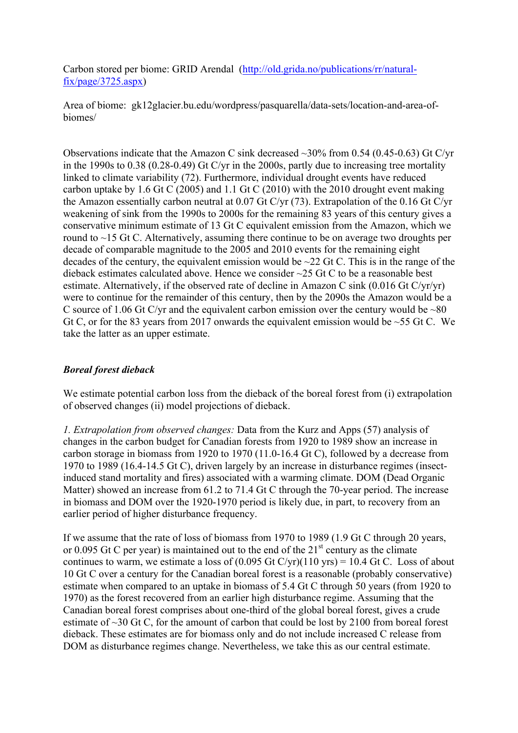Carbon stored per biome: GRID Arendal (http://old.grida.no/publications/rr/naturalfix/page/3725.aspx)

Area of biome: gk12glacier.bu.edu/wordpress/pasquarella/data-sets/location-and-area-ofbiomes/

Observations indicate that the Amazon C sink decreased ~30% from 0.54 (0.45-0.63) Gt C/yr in the 1990s to 0.38 (0.28-0.49) Gt C/yr in the 2000s, partly due to increasing tree mortality linked to climate variability (72). Furthermore, individual drought events have reduced carbon uptake by 1.6 Gt C (2005) and 1.1 Gt C (2010) with the 2010 drought event making the Amazon essentially carbon neutral at 0.07 Gt C/yr (73). Extrapolation of the 0.16 Gt C/yr weakening of sink from the 1990s to 2000s for the remaining 83 years of this century gives a conservative minimum estimate of 13 Gt C equivalent emission from the Amazon, which we round to ~15 Gt C. Alternatively, assuming there continue to be on average two droughts per decade of comparable magnitude to the 2005 and 2010 events for the remaining eight decades of the century, the equivalent emission would be  $\sim$ 22 Gt C. This is in the range of the dieback estimates calculated above. Hence we consider ~25 Gt C to be a reasonable best estimate. Alternatively, if the observed rate of decline in Amazon C sink (0.016 Gt C/yr/yr) were to continue for the remainder of this century, then by the 2090s the Amazon would be a C source of 1.06 Gt C/yr and the equivalent carbon emission over the century would be  $\sim80$ Gt C, or for the 83 years from 2017 onwards the equivalent emission would be  $\sim$  55 Gt C. We take the latter as an upper estimate.

# *Boreal forest dieback*

We estimate potential carbon loss from the dieback of the boreal forest from (i) extrapolation of observed changes (ii) model projections of dieback.

*1. Extrapolation from observed changes:* Data from the Kurz and Apps (57) analysis of changes in the carbon budget for Canadian forests from 1920 to 1989 show an increase in carbon storage in biomass from 1920 to 1970 (11.0-16.4 Gt C), followed by a decrease from 1970 to 1989 (16.4-14.5 Gt C), driven largely by an increase in disturbance regimes (insectinduced stand mortality and fires) associated with a warming climate. DOM (Dead Organic Matter) showed an increase from 61.2 to 71.4 Gt C through the 70-year period. The increase in biomass and DOM over the 1920-1970 period is likely due, in part, to recovery from an earlier period of higher disturbance frequency.

If we assume that the rate of loss of biomass from 1970 to 1989 (1.9 Gt C through 20 years, or 0.095 Gt C per year) is maintained out to the end of the  $21<sup>st</sup>$  century as the climate continues to warm, we estimate a loss of  $(0.095 \text{ Gt C/yr})(110 \text{ yrs}) = 10.4 \text{ Gt C}$ . Loss of about 10 Gt C over a century for the Canadian boreal forest is a reasonable (probably conservative) estimate when compared to an uptake in biomass of 5.4 Gt C through 50 years (from 1920 to 1970) as the forest recovered from an earlier high disturbance regime. Assuming that the Canadian boreal forest comprises about one-third of the global boreal forest, gives a crude estimate of ~30 Gt C, for the amount of carbon that could be lost by 2100 from boreal forest dieback. These estimates are for biomass only and do not include increased C release from DOM as disturbance regimes change. Nevertheless, we take this as our central estimate.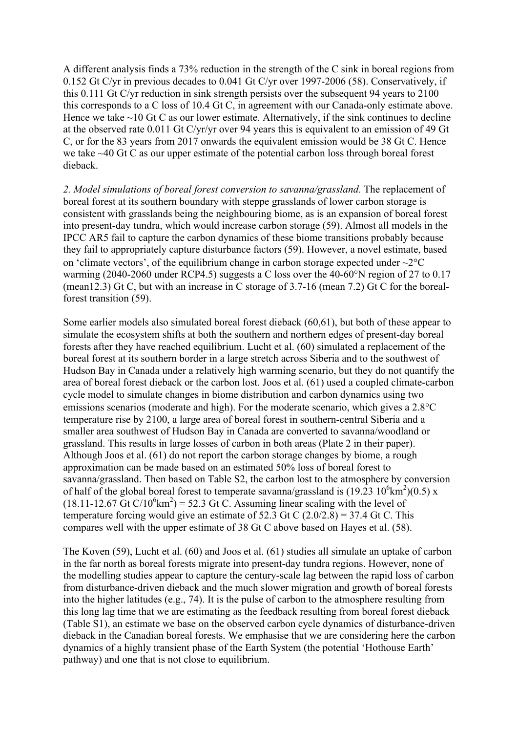A different analysis finds a 73% reduction in the strength of the C sink in boreal regions from 0.152 Gt C/yr in previous decades to 0.041 Gt C/yr over 1997-2006 (58). Conservatively, if this 0.111 Gt C/yr reduction in sink strength persists over the subsequent 94 years to 2100 this corresponds to a C loss of 10.4 Gt C, in agreement with our Canada-only estimate above. Hence we take  $\sim$ 10 Gt C as our lower estimate. Alternatively, if the sink continues to decline at the observed rate 0.011 Gt C/yr/yr over 94 years this is equivalent to an emission of 49 Gt C, or for the 83 years from 2017 onwards the equivalent emission would be 38 Gt C. Hence we take ~40 Gt C as our upper estimate of the potential carbon loss through boreal forest dieback.

*2. Model simulations of boreal forest conversion to savanna/grassland.* The replacement of boreal forest at its southern boundary with steppe grasslands of lower carbon storage is consistent with grasslands being the neighbouring biome, as is an expansion of boreal forest into present-day tundra, which would increase carbon storage (59). Almost all models in the IPCC AR5 fail to capture the carbon dynamics of these biome transitions probably because they fail to appropriately capture disturbance factors (59). However, a novel estimate, based on 'climate vectors', of the equilibrium change in carbon storage expected under  $\sim$ 2 $\degree$ C warming (2040-2060 under RCP4.5) suggests a C loss over the 40-60°N region of 27 to 0.17 (mean12.3) Gt C, but with an increase in C storage of 3.7-16 (mean 7.2) Gt C for the borealforest transition (59).

Some earlier models also simulated boreal forest dieback (60,61), but both of these appear to simulate the ecosystem shifts at both the southern and northern edges of present-day boreal forests after they have reached equilibrium. Lucht et al. (60) simulated a replacement of the boreal forest at its southern border in a large stretch across Siberia and to the southwest of Hudson Bay in Canada under a relatively high warming scenario, but they do not quantify the area of boreal forest dieback or the carbon lost. Joos et al. (61) used a coupled climate-carbon cycle model to simulate changes in biome distribution and carbon dynamics using two emissions scenarios (moderate and high). For the moderate scenario, which gives a 2.8°C temperature rise by 2100, a large area of boreal forest in southern-central Siberia and a smaller area southwest of Hudson Bay in Canada are converted to savanna/woodland or grassland. This results in large losses of carbon in both areas (Plate 2 in their paper). Although Joos et al. (61) do not report the carbon storage changes by biome, a rough approximation can be made based on an estimated 50% loss of boreal forest to savanna/grassland. Then based on Table S2, the carbon lost to the atmosphere by conversion of half of the global boreal forest to temperate savanna/grassland is  $(19.23 \ 10^6 \text{km}^2)(0.5) \text{ x}$  $(18.11-12.67 \text{ Gt C}/10^6 \text{km}^2) = 52.3 \text{ Gt C}$ . Assuming linear scaling with the level of temperature forcing would give an estimate of 52.3 Gt C  $(2.0/2.8) = 37.4$  Gt C. This compares well with the upper estimate of 38 Gt C above based on Hayes et al. (58).

The Koven (59), Lucht et al. (60) and Joos et al. (61) studies all simulate an uptake of carbon in the far north as boreal forests migrate into present-day tundra regions. However, none of the modelling studies appear to capture the century-scale lag between the rapid loss of carbon from disturbance-driven dieback and the much slower migration and growth of boreal forests into the higher latitudes (e.g., 74). It is the pulse of carbon to the atmosphere resulting from this long lag time that we are estimating as the feedback resulting from boreal forest dieback (Table S1), an estimate we base on the observed carbon cycle dynamics of disturbance-driven dieback in the Canadian boreal forests. We emphasise that we are considering here the carbon dynamics of a highly transient phase of the Earth System (the potential 'Hothouse Earth' pathway) and one that is not close to equilibrium.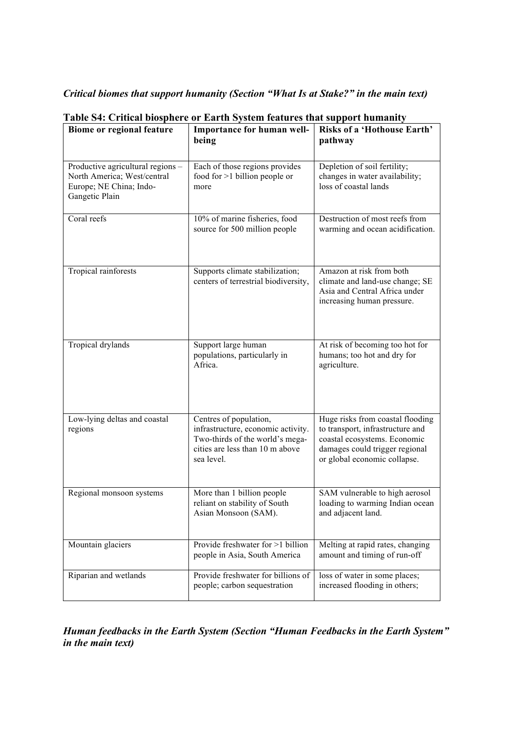*Critical biomes that support humanity (Section "What Is at Stake?" in the main text)*

| Biome or regional feature                                                                                     | Importance for human well-<br>being                                                                                                              | <b>Risks of a 'Hothouse Earth'</b><br>pathway                                                                                                                          |
|---------------------------------------------------------------------------------------------------------------|--------------------------------------------------------------------------------------------------------------------------------------------------|------------------------------------------------------------------------------------------------------------------------------------------------------------------------|
| Productive agricultural regions -<br>North America; West/central<br>Europe; NE China; Indo-<br>Gangetic Plain | Each of those regions provides<br>food for $>1$ billion people or<br>more                                                                        | Depletion of soil fertility;<br>changes in water availability;<br>loss of coastal lands                                                                                |
| Coral reefs                                                                                                   | 10% of marine fisheries, food<br>source for 500 million people                                                                                   | Destruction of most reefs from<br>warming and ocean acidification.                                                                                                     |
| Tropical rainforests                                                                                          | Supports climate stabilization;<br>centers of terrestrial biodiversity,                                                                          | Amazon at risk from both<br>climate and land-use change; SE<br>Asia and Central Africa under<br>increasing human pressure.                                             |
| Tropical drylands                                                                                             | Support large human<br>populations, particularly in<br>Africa.                                                                                   | At risk of becoming too hot for<br>humans; too hot and dry for<br>agriculture.                                                                                         |
| Low-lying deltas and coastal<br>regions                                                                       | Centres of population,<br>infrastructure, economic activity.<br>Two-thirds of the world's mega-<br>cities are less than 10 m above<br>sea level. | Huge risks from coastal flooding<br>to transport, infrastructure and<br>coastal ecosystems. Economic<br>damages could trigger regional<br>or global economic collapse. |
| Regional monsoon systems                                                                                      | More than 1 billion people<br>reliant on stability of South<br>Asian Monsoon (SAM).                                                              | SAM vulnerable to high aerosol<br>loading to warming Indian ocean<br>and adjacent land.                                                                                |
| Mountain glaciers                                                                                             | Provide freshwater for >1 billion<br>people in Asia, South America                                                                               | Melting at rapid rates, changing<br>amount and timing of run-off                                                                                                       |
| Riparian and wetlands                                                                                         | Provide freshwater for billions of<br>people; carbon sequestration                                                                               | loss of water in some places;<br>increased flooding in others;                                                                                                         |

**Table S4: Critical biosphere or Earth System features that support humanity**

*Human feedbacks in the Earth System (Section "Human Feedbacks in the Earth System" in the main text)*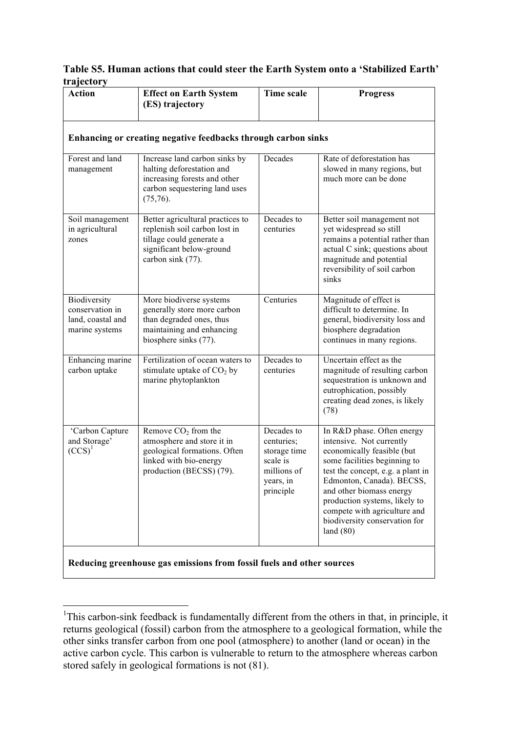# **Table S5. Human actions that could steer the Earth System onto a 'Stabilized Earth' trajectory**

| <b>Action</b>                                                          | <b>Effect on Earth System</b><br>(ES) trajectory                                                                                               | <b>Time scale</b>                                                                             | <b>Progress</b>                                                                                                                                                                                                                                                                                                                     |  |  |  |
|------------------------------------------------------------------------|------------------------------------------------------------------------------------------------------------------------------------------------|-----------------------------------------------------------------------------------------------|-------------------------------------------------------------------------------------------------------------------------------------------------------------------------------------------------------------------------------------------------------------------------------------------------------------------------------------|--|--|--|
| Enhancing or creating negative feedbacks through carbon sinks          |                                                                                                                                                |                                                                                               |                                                                                                                                                                                                                                                                                                                                     |  |  |  |
| Forest and land<br>management                                          | Increase land carbon sinks by<br>halting deforestation and<br>increasing forests and other<br>carbon sequestering land uses<br>$(75,76)$ .     | Decades                                                                                       | Rate of deforestation has<br>slowed in many regions, but<br>much more can be done                                                                                                                                                                                                                                                   |  |  |  |
| Soil management<br>in agricultural<br>zones                            | Better agricultural practices to<br>replenish soil carbon lost in<br>tillage could generate a<br>significant below-ground<br>carbon sink (77). | Decades to<br>centuries                                                                       | Better soil management not<br>yet widespread so still<br>remains a potential rather than<br>actual C sink; questions about<br>magnitude and potential<br>reversibility of soil carbon<br>sinks                                                                                                                                      |  |  |  |
| Biodiversity<br>conservation in<br>land, coastal and<br>marine systems | More biodiverse systems<br>generally store more carbon<br>than degraded ones, thus<br>maintaining and enhancing<br>biosphere sinks (77).       | Centuries                                                                                     | Magnitude of effect is<br>difficult to determine. In<br>general, biodiversity loss and<br>biosphere degradation<br>continues in many regions.                                                                                                                                                                                       |  |  |  |
| Enhancing marine<br>carbon uptake                                      | Fertilization of ocean waters to<br>stimulate uptake of $CO2$ by<br>marine phytoplankton                                                       | Decades to<br>centuries                                                                       | Uncertain effect as the<br>magnitude of resulting carbon<br>sequestration is unknown and<br>eutrophication, possibly<br>creating dead zones, is likely<br>(78)                                                                                                                                                                      |  |  |  |
| 'Carbon Capture<br>and Storage'<br>$(CCS)^1$                           | Remove $CO2$ from the<br>atmosphere and store it in<br>geological formations. Often<br>linked with bio-energy<br>production (BECSS) (79).      | Decades to<br>centuries;<br>storage time<br>scale is<br>millions of<br>years, in<br>principle | In R&D phase. Often energy<br>intensive. Not currently<br>economically feasible (but<br>some facilities beginning to<br>test the concept, e.g. a plant in<br>Edmonton, Canada). BECSS,<br>and other biomass energy<br>production systems, likely to<br>compete with agriculture and<br>biodiversity conservation for<br>land $(80)$ |  |  |  |
|                                                                        | Reducing greenhouse gas emissions from fossil fuels and other sources                                                                          |                                                                                               |                                                                                                                                                                                                                                                                                                                                     |  |  |  |

<sup>&</sup>lt;sup>1</sup>This carbon-sink feedback is fundamentally different from the others in that, in principle, it returns geological (fossil) carbon from the atmosphere to a geological formation, while the other sinks transfer carbon from one pool (atmosphere) to another (land or ocean) in the active carbon cycle. This carbon is vulnerable to return to the atmosphere whereas carbon stored safely in geological formations is not (81).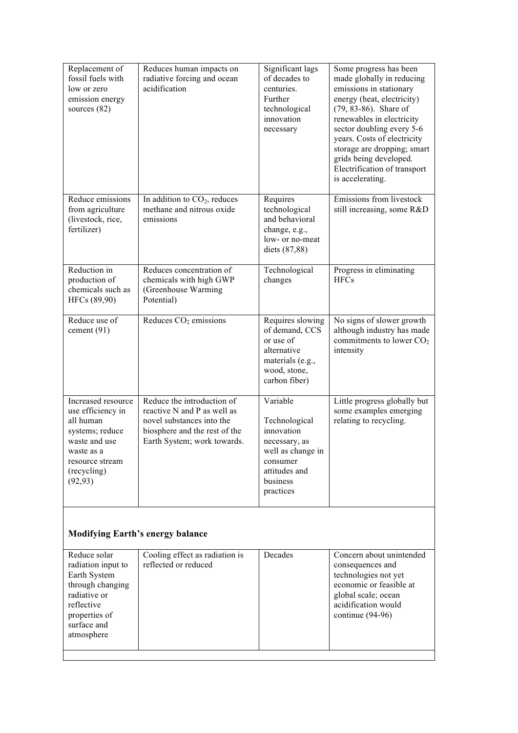| Replacement of<br>fossil fuels with<br>low or zero<br>emission energy<br>sources $(82)$                                                              | Reduces human impacts on<br>radiative forcing and ocean<br>acidification                                                                               | Significant lags<br>of decades to<br>centuries.<br>Further<br>technological<br>innovation<br>necessary                              | Some progress has been<br>made globally in reducing<br>emissions in stationary<br>energy (heat, electricity)<br>$(79, 83-86)$ . Share of<br>renewables in electricity<br>sector doubling every 5-6<br>years. Costs of electricity<br>storage are dropping; smart<br>grids being developed.<br>Electrification of transport<br>is accelerating. |
|------------------------------------------------------------------------------------------------------------------------------------------------------|--------------------------------------------------------------------------------------------------------------------------------------------------------|-------------------------------------------------------------------------------------------------------------------------------------|------------------------------------------------------------------------------------------------------------------------------------------------------------------------------------------------------------------------------------------------------------------------------------------------------------------------------------------------|
| Reduce emissions<br>from agriculture<br>(livestock, rice,<br>fertilizer)                                                                             | In addition to $CO2$ , reduces<br>methane and nitrous oxide<br>emissions                                                                               | Requires<br>technological<br>and behavioral<br>change, e.g.,<br>low- or no-meat<br>diets (87,88)                                    | Emissions from livestock<br>still increasing, some R&D                                                                                                                                                                                                                                                                                         |
| Reduction in<br>production of<br>chemicals such as<br>HFCs (89,90)                                                                                   | Reduces concentration of<br>chemicals with high GWP<br>(Greenhouse Warming)<br>Potential)                                                              | Technological<br>changes                                                                                                            | Progress in eliminating<br><b>HFCs</b>                                                                                                                                                                                                                                                                                                         |
| Reduce use of<br>cement (91)                                                                                                                         | Reduces $CO2$ emissions                                                                                                                                | Requires slowing<br>of demand, CCS<br>or use of<br>alternative<br>materials (e.g.,<br>wood, stone,<br>carbon fiber)                 | No signs of slower growth<br>although industry has made<br>commitments to lower $CO2$<br>intensity                                                                                                                                                                                                                                             |
| Increased resource<br>use efficiency in<br>all human<br>systems; reduce<br>waste and use<br>waste as a<br>resource stream<br>(recycling)<br>(92, 93) | Reduce the introduction of<br>reactive N and P as well as<br>novel substances into the<br>biosphere and the rest of the<br>Earth System; work towards. | Variable<br>Technological<br>innovation<br>necessary, as<br>well as change in<br>consumer<br>attitudes and<br>business<br>practices | Little progress globally but<br>some examples emerging<br>relating to recycling.                                                                                                                                                                                                                                                               |
|                                                                                                                                                      | <b>Modifying Earth's energy balance</b>                                                                                                                |                                                                                                                                     |                                                                                                                                                                                                                                                                                                                                                |
| Reduce solar<br>radiation input to<br>Earth System<br>through changing<br>radiative or<br>reflective<br>properties of<br>surface and<br>atmosphere   | Cooling effect as radiation is<br>reflected or reduced                                                                                                 | Decades                                                                                                                             | Concern about unintended<br>consequences and<br>technologies not yet<br>economic or feasible at<br>global scale; ocean<br>acidification would<br>continue (94-96)                                                                                                                                                                              |
|                                                                                                                                                      |                                                                                                                                                        |                                                                                                                                     |                                                                                                                                                                                                                                                                                                                                                |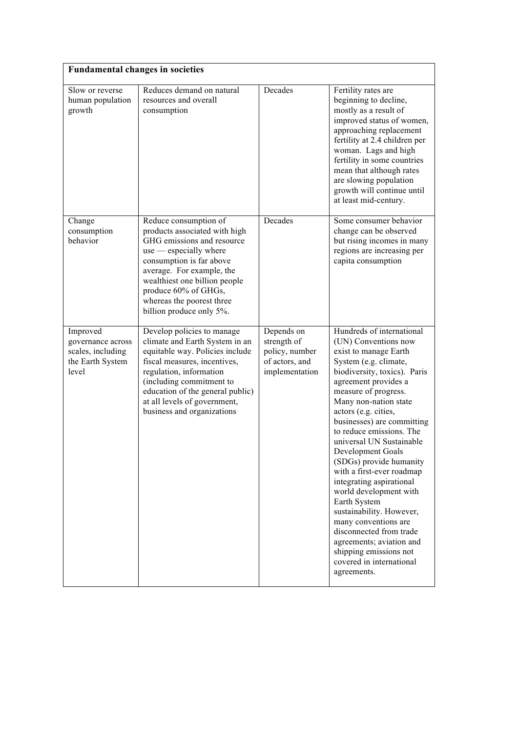| <b>Fundamental changes in societies</b>                                         |                                                                                                                                                                                                                                                                                             |                                                                                 |                                                                                                                                                                                                                                                                                                                                                                                                                                                                                                                                                                                                                                                               |
|---------------------------------------------------------------------------------|---------------------------------------------------------------------------------------------------------------------------------------------------------------------------------------------------------------------------------------------------------------------------------------------|---------------------------------------------------------------------------------|---------------------------------------------------------------------------------------------------------------------------------------------------------------------------------------------------------------------------------------------------------------------------------------------------------------------------------------------------------------------------------------------------------------------------------------------------------------------------------------------------------------------------------------------------------------------------------------------------------------------------------------------------------------|
| Slow or reverse<br>human population<br>growth                                   | Reduces demand on natural<br>resources and overall<br>consumption                                                                                                                                                                                                                           | Decades                                                                         | Fertility rates are<br>beginning to decline,<br>mostly as a result of<br>improved status of women,<br>approaching replacement<br>fertility at 2.4 children per<br>woman. Lags and high<br>fertility in some countries<br>mean that although rates<br>are slowing population<br>growth will continue until<br>at least mid-century.                                                                                                                                                                                                                                                                                                                            |
| Change<br>consumption<br>behavior                                               | Reduce consumption of<br>products associated with high<br>GHG emissions and resource<br>$use$ - especially where<br>consumption is far above<br>average. For example, the<br>wealthiest one billion people<br>produce 60% of GHGs,<br>whereas the poorest three<br>billion produce only 5%. | Decades                                                                         | Some consumer behavior<br>change can be observed<br>but rising incomes in many<br>regions are increasing per<br>capita consumption                                                                                                                                                                                                                                                                                                                                                                                                                                                                                                                            |
| Improved<br>governance across<br>scales, including<br>the Earth System<br>level | Develop policies to manage<br>climate and Earth System in an<br>equitable way. Policies include<br>fiscal measures, incentives,<br>regulation, information<br>(including commitment to<br>education of the general public)<br>at all levels of government,<br>business and organizations    | Depends on<br>strength of<br>policy, number<br>of actors, and<br>implementation | Hundreds of international<br>(UN) Conventions now<br>exist to manage Earth<br>System (e.g. climate,<br>biodiversity, toxics). Paris<br>agreement provides a<br>measure of progress.<br>Many non-nation state<br>actors (e.g. cities,<br>businesses) are committing<br>to reduce emissions. The<br>universal UN Sustainable<br>Development Goals<br>(SDGs) provide humanity<br>with a first-ever roadmap<br>integrating aspirational<br>world development with<br>Earth System<br>sustainability. However,<br>many conventions are<br>disconnected from trade<br>agreements; aviation and<br>shipping emissions not<br>covered in international<br>agreements. |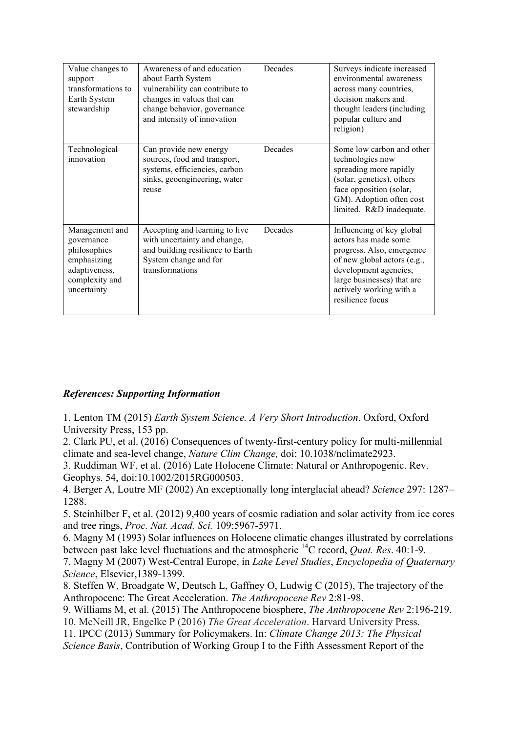| Value changes to<br>support<br>transformations to<br>Earth System<br>stewardship                              | Awareness of and education<br>about Earth System<br>vulnerability can contribute to<br>changes in values that can<br>change behavior, governance<br>and intensity of innovation | Decades | Surveys indicate increased<br>environmental awareness<br>across many countries,<br>decision makers and<br>thought leaders (including<br>popular culture and<br>religion)                                            |
|---------------------------------------------------------------------------------------------------------------|---------------------------------------------------------------------------------------------------------------------------------------------------------------------------------|---------|---------------------------------------------------------------------------------------------------------------------------------------------------------------------------------------------------------------------|
| Technological<br>innovation                                                                                   | Can provide new energy<br>sources, food and transport,<br>systems, efficiencies, carbon<br>sinks, geoengineering, water<br>reuse                                                | Decades | Some low carbon and other<br>technologies now<br>spreading more rapidly<br>(solar, genetics), others<br>face opposition (solar,<br>GM). Adoption often cost<br>limited. R&D inadequate.                             |
| Management and<br>governance<br>philosophies<br>emphasizing<br>adaptiveness,<br>complexity and<br>uncertainty | Accepting and learning to live<br>with uncertainty and change,<br>and building resilience to Earth<br>System change and for<br>transformations                                  | Decades | Influencing of key global<br>actors has made some<br>progress. Also, emergence<br>of new global actors (e.g.,<br>development agencies,<br>large businesses) that are<br>actively working with a<br>resilience focus |

# *References: Supporting Information*

1. Lenton TM (2015) *Earth System Science. A Very Short Introduction*. Oxford, Oxford University Press, 153 pp.

2. Clark PU, et al. (2016) Consequences of twenty-first-century policy for multi-millennial climate and sea-level change, *Nature Clim Change,* doi: 10.1038/nclimate2923.

3. Ruddiman WF, et al. (2016) Late Holocene Climate: Natural or Anthropogenic. Rev. Geophys. 54, doi:10.1002/2015RG000503.

4. Berger A, Loutre MF (2002) An exceptionally long interglacial ahead? *Science* 297: 1287– 1288.

5. Steinhilber F, et al. (2012) 9,400 years of cosmic radiation and solar activity from ice cores and tree rings, *Proc. Nat. Acad. Sci.* 109:5967-5971.

6. Magny M (1993) Solar influences on Holocene climatic changes illustrated by correlations between past lake level fluctuations and the atmospheric 14C record, *Quat. Res*. 40:1-9.

7. Magny M (2007) West-Central Europe, in *Lake Level Studies*, *Encyclopedia of Quaternary Science*, Elsevier,1389-1399.

8. Steffen W, Broadgate W, Deutsch L, Gaffney O, Ludwig C (2015), The trajectory of the Anthropocene: The Great Acceleration. *The Anthropocene Rev* 2:81-98.

9. Williams M, et al. (2015) The Anthropocene biosphere, *The Anthropocene Rev* 2:196-219.

10. McNeill JR, Engelke P (2016) *The Great Acceleration*. Harvard University Press.

11. IPCC (2013) Summary for Policymakers. In: *Climate Change 2013: The Physical* 

*Science Basis*, Contribution of Working Group I to the Fifth Assessment Report of the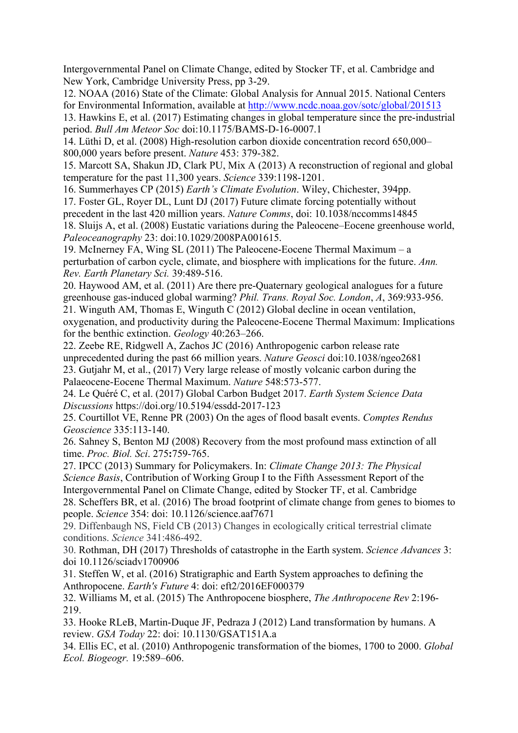Intergovernmental Panel on Climate Change, edited by Stocker TF, et al. Cambridge and New York, Cambridge University Press, pp 3-29.

12. NOAA (2016) State of the Climate: Global Analysis for Annual 2015. National Centers for Environmental Information, available at http://www.ncdc.noaa.gov/sotc/global/201513

13. Hawkins E, et al. (2017) Estimating changes in global temperature since the pre-industrial period. *Bull Am Meteor Soc* doi:10.1175/BAMS-D-16-0007.1

14. Lüthi D, et al. (2008) High-resolution carbon dioxide concentration record 650,000– 800,000 years before present. *Nature* 453: 379-382.

15. Marcott SA, Shakun JD, Clark PU, Mix A (2013) A reconstruction of regional and global temperature for the past 11,300 years. *Science* 339:1198-1201.

16. Summerhayes CP (2015) *Earth's Climate Evolution*. Wiley, Chichester, 394pp.

17. Foster GL, Royer DL, Lunt DJ (2017) Future climate forcing potentially without precedent in the last 420 million years. *Nature Comms*, doi: 10.1038/nccomms14845 18. Sluijs A, et al. (2008) Eustatic variations during the Paleocene–Eocene greenhouse world, *Paleoceanography* 23: doi:10.1029/2008PA001615.

19. McInerney FA, Wing SL (2011) The Paleocene-Eocene Thermal Maximum – a perturbation of carbon cycle, climate, and biosphere with implications for the future. *Ann. Rev. Earth Planetary Sci.* 39:489-516.

20. Haywood AM, et al. (2011) Are there pre-Quaternary geological analogues for a future greenhouse gas-induced global warming? *Phil. Trans. Royal Soc. London*, *A*, 369:933-956.

21. Winguth AM, Thomas E, Winguth C (2012) Global decline in ocean ventilation, oxygenation, and productivity during the Paleocene-Eocene Thermal Maximum: Implications for the benthic extinction. *Geology* 40:263–266.

22. Zeebe RE, Ridgwell A, Zachos JC (2016) Anthropogenic carbon release rate unprecedented during the past 66 million years. *Nature Geosci* doi:10.1038/ngeo2681 23. Gutjahr M, et al., (2017) Very large release of mostly volcanic carbon during the Palaeocene-Eocene Thermal Maximum. *Nature* 548:573-577.

24. Le Quéré C, et al. (2017) Global Carbon Budget 2017. *Earth System Science Data Discussions* https://doi.org/10.5194/essdd-2017-123

25. Courtillot VE, Renne PR (2003) On the ages of flood basalt events. *Comptes Rendus Geoscience* 335:113-140.

26. Sahney S, Benton MJ (2008) Recovery from the most profound mass extinction of all time. *Proc. Biol. Sci*. 275**:**759-765.

27. IPCC (2013) Summary for Policymakers. In: *Climate Change 2013: The Physical Science Basis*, Contribution of Working Group I to the Fifth Assessment Report of the Intergovernmental Panel on Climate Change, edited by Stocker TF, et al. Cambridge 28. Scheffers BR, et al. (2016) The broad footprint of climate change from genes to biomes to people. *Science* 354: doi: 10.1126/science.aaf7671

29. Diffenbaugh NS, Field CB (2013) Changes in ecologically critical terrestrial climate conditions. *Science* 341:486-492.

30. Rothman, DH (2017) Thresholds of catastrophe in the Earth system. *Science Advances* 3: doi 10.1126/sciadv1700906

31. Steffen W, et al. (2016) Stratigraphic and Earth System approaches to defining the Anthropocene. *Earth's Future* 4: doi: eft2/2016EF000379

32. Williams M, et al. (2015) The Anthropocene biosphere, *The Anthropocene Rev* 2:196- 219.

33. Hooke RLeB, Martin-Duque JF, Pedraza J (2012) Land transformation by humans. A review. *GSA Today* 22: doi: 10.1130/GSAT151A.a

34. Ellis EC, et al. (2010) Anthropogenic transformation of the biomes, 1700 to 2000. *Global Ecol. Biogeogr.* 19:589–606.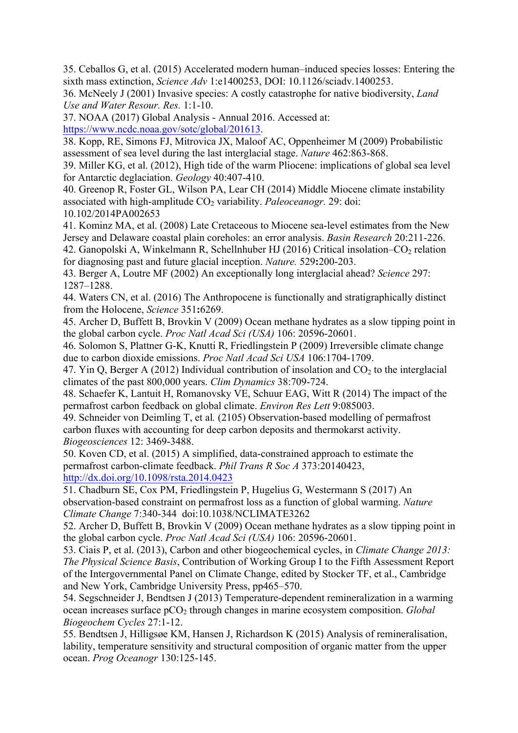35. Ceballos G, et al. (2015) Accelerated modern human–induced species losses: Entering the sixth mass extinction, *Science Adv* 1:e1400253, DOI: 10.1126/sciadv.1400253.

36. McNeely J (2001) Invasive species: A costly catastrophe for native biodiversity, *Land Use and Water Resour. Res.* 1:1-10.

37. NOAA (2017) Global Analysis - Annual 2016. Accessed at:

https://www.ncdc.noaa.gov/sotc/global/201613.

38. Kopp, RE, Simons FJ, Mitrovica JX, Maloof AC, Oppenheimer M (2009) Probabilistic assessment of sea level during the last interglacial stage. *Nature* 462:863-868.

39. Miller KG, et al. (2012), High tide of the warm Pliocene: implications of global sea level for Antarctic deglaciation. *Geology* 40:407-410.

40. Greenop R, Foster GL, Wilson PA, Lear CH (2014) Middle Miocene climate instability associated with high-amplitude CO<sub>2</sub> variability. *Paleoceanogr*. 29: doi: 10.102/2014PA002653

41. Kominz MA, et al. (2008) Late Cretaceous to Miocene sea-level estimates from the New Jersey and Delaware coastal plain coreholes: an error analysis. *Basin Research* 20:211-226.

42. Ganopolski A, Winkelmann R, Schellnhuber HJ (2016) Critical insolation– $CO<sub>2</sub>$  relation for diagnosing past and future glacial inception. *Nature.* 529**:**200-203.

43. Berger A, Loutre MF (2002) An exceptionally long interglacial ahead? *Science* 297: 1287–1288.

44. Waters CN, et al. (2016) The Anthropocene is functionally and stratigraphically distinct from the Holocene, *Science* 351**:**6269.

45. Archer D, Buffett B, Brovkin V (2009) Ocean methane hydrates as a slow tipping point in the global carbon cycle. *Proc Natl Acad Sci (USA)* 106: 20596-20601.

46. Solomon S, Plattner G-K, Knutti R, Friedlingstein P (2009) Irreversible climate change due to carbon dioxide emissions. *Proc Natl Acad Sci USA* 106:1704-1709.

47. Yin Q, Berger A (2012) Individual contribution of insolation and  $CO<sub>2</sub>$  to the interglacial climates of the past 800,000 years. *Clim Dynamics* 38:709-724.

48. Schaefer K, Lantuit H, Romanovsky VE, Schuur EAG, Witt R (2014) The impact of the permafrost carbon feedback on global climate. *Environ Res Lett* 9:085003.

49. Schneider von Deimling T, et al*.* (2105) Observation-based modelling of permafrost carbon fluxes with accounting for deep carbon deposits and thermokarst activity. *Biogeosciences* 12: 3469-3488.

50. Koven CD, et al. (2015) A simplified, data-constrained approach to estimate the permafrost carbon-climate feedback. *Phil Trans R Soc A* 373:20140423, http://dx.doi.org/10.1098/rsta.2014.0423

51. Chadburn SE, Cox PM, Friedlingstein P, Hugelius G, Westermann S (2017) An observation-based constraint on permafrost loss as a function of global warming. *Nature Climate Change* 7:340-344 doi:10.1038/NCLIMATE3262

52. Archer D, Buffett B, Brovkin V (2009) Ocean methane hydrates as a slow tipping point in the global carbon cycle. *Proc Natl Acad Sci (USA)* 106: 20596-20601.

53. Ciais P, et al. (2013), Carbon and other biogeochemical cycles, in *Climate Change 2013: The Physical Science Basis*, Contribution of Working Group I to the Fifth Assessment Report of the Intergovernmental Panel on Climate Change, edited by Stocker TF, et al., Cambridge and New York, Cambridge University Press, pp465–570.

54. Segschneider J, Bendtsen J (2013) Temperature-dependent remineralization in a warming ocean increases surface pCO2 through changes in marine ecosystem composition. *Global Biogeochem Cycles* 27:1-12.

55. Bendtsen J, Hilligsøe KM, Hansen J, Richardson K (2015) Analysis of remineralisation, lability, temperature sensitivity and structural composition of organic matter from the upper ocean. *Prog Oceanogr* 130:125-145.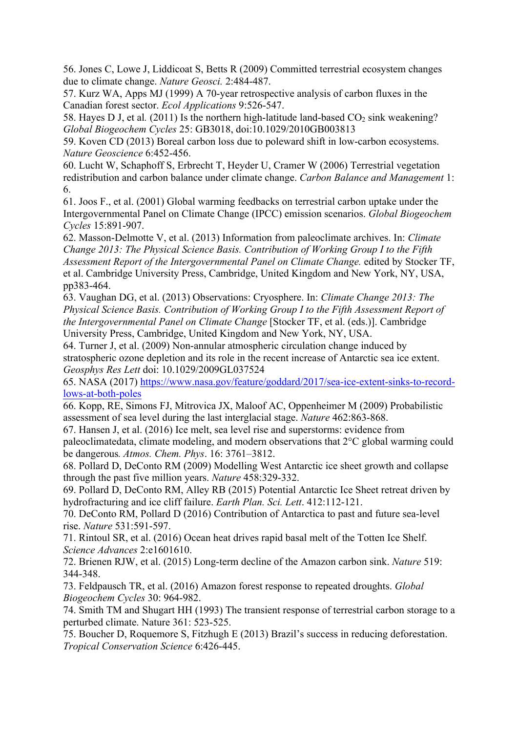56. Jones C, Lowe J, Liddicoat S, Betts R (2009) Committed terrestrial ecosystem changes due to climate change. *Nature Geosci.* 2:484-487.

57. Kurz WA, Apps MJ (1999) A 70-year retrospective analysis of carbon fluxes in the Canadian forest sector. *Ecol Applications* 9:526-547.

58. Hayes D J, et al.  $(2011)$  Is the northern high-latitude land-based  $CO<sub>2</sub>$  sink weakening? *Global Biogeochem Cycles* 25: GB3018, doi:10.1029/2010GB003813

59. Koven CD (2013) Boreal carbon loss due to poleward shift in low-carbon ecosystems. *Nature Geoscience* 6:452-456.

60. Lucht W, Schaphoff S, Erbrecht T, Heyder U, Cramer W (2006) Terrestrial vegetation redistribution and carbon balance under climate change. *Carbon Balance and Management* 1: 6.

61. Joos F., et al. (2001) Global warming feedbacks on terrestrial carbon uptake under the Intergovernmental Panel on Climate Change (IPCC) emission scenarios. *Global Biogeochem Cycles* 15:891-907.

62. Masson-Delmotte V, et al. (2013) Information from paleoclimate archives. In: *Climate Change 2013: The Physical Science Basis. Contribution of Working Group I to the Fifth Assessment Report of the Intergovernmental Panel on Climate Change.* edited by Stocker TF, et al. Cambridge University Press, Cambridge, United Kingdom and New York, NY, USA, pp383-464.

63. Vaughan DG, et al. (2013) Observations: Cryosphere. In: *Climate Change 2013: The Physical Science Basis. Contribution of Working Group I to the Fifth Assessment Report of the Intergovernmental Panel on Climate Change* [Stocker TF, et al. (eds.)]. Cambridge University Press, Cambridge, United Kingdom and New York, NY, USA.

64. Turner J, et al. (2009) Non-annular atmospheric circulation change induced by stratospheric ozone depletion and its role in the recent increase of Antarctic sea ice extent. *Geosphys Res Lett* doi: 10.1029/2009GL037524

65. NASA (2017) https://www.nasa.gov/feature/goddard/2017/sea-ice-extent-sinks-to-recordlows-at-both-poles

66. Kopp, RE, Simons FJ, Mitrovica JX, Maloof AC, Oppenheimer M (2009) Probabilistic assessment of sea level during the last interglacial stage. *Nature* 462:863-868.

67. Hansen J, et al. (2016) Ice melt, sea level rise and superstorms: evidence from paleoclimatedata, climate modeling, and modern observations that 2°C global warming could be dangerous*. Atmos. Chem. Phys*. 16: 3761–3812.

68. Pollard D, DeConto RM (2009) Modelling West Antarctic ice sheet growth and collapse through the past five million years. *Nature* 458:329-332.

69. Pollard D, DeConto RM, Alley RB (2015) Potential Antarctic Ice Sheet retreat driven by hydrofracturing and ice cliff failure. *Earth Plan. Sci. Lett*. 412:112-121.

70. DeConto RM, Pollard D (2016) Contribution of Antarctica to past and future sea-level rise. *Nature* 531:591-597.

71. Rintoul SR, et al. (2016) Ocean heat drives rapid basal melt of the Totten Ice Shelf. *Science Advances* 2:e1601610.

72. Brienen RJW, et al. (2015) Long-term decline of the Amazon carbon sink. *Nature* 519: 344-348.

73. Feldpausch TR, et al. (2016) Amazon forest response to repeated droughts. *Global Biogeochem Cycles* 30: 964-982.

74. Smith TM and Shugart HH (1993) The transient response of terrestrial carbon storage to a perturbed climate. Nature 361: 523-525.

75. Boucher D, Roquemore S, Fitzhugh E (2013) Brazil's success in reducing deforestation. *Tropical Conservation Science* 6:426-445.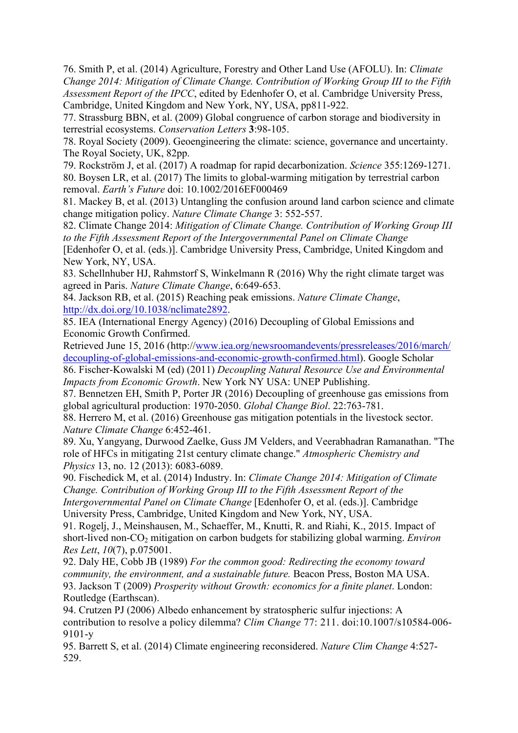76. Smith P, et al. (2014) Agriculture, Forestry and Other Land Use (AFOLU). In: *Climate Change 2014: Mitigation of Climate Change. Contribution of Working Group III to the Fifth Assessment Report of the IPCC*, edited by Edenhofer O, et al. Cambridge University Press, Cambridge, United Kingdom and New York, NY, USA, pp811-922.

77. Strassburg BBN, et al. (2009) Global congruence of carbon storage and biodiversity in terrestrial ecosystems. *Conservation Letters* **3**:98-105.

78. Royal Society (2009). Geoengineering the climate: science, governance and uncertainty. The Royal Society, UK, 82pp.

79. Rockström J, et al. (2017) A roadmap for rapid decarbonization. *Science* 355:1269-1271. 80. Boysen LR, et al. (2017) The limits to global-warming mitigation by terrestrial carbon removal. *Earth's Future* doi: 10.1002/2016EF000469

81. Mackey B, et al. (2013) Untangling the confusion around land carbon science and climate change mitigation policy. *Nature Climate Change* 3: 552-557.

82. Climate Change 2014: *Mitigation of Climate Change. Contribution of Working Group III to the Fifth Assessment Report of the Intergovernmental Panel on Climate Change*

[Edenhofer O, et al. (eds.)]. Cambridge University Press, Cambridge, United Kingdom and New York, NY, USA.

83. Schellnhuber HJ, Rahmstorf S, Winkelmann R (2016) Why the right climate target was agreed in Paris. *Nature Climate Change*, 6:649-653.

84. Jackson RB, et al. (2015) Reaching peak emissions. *Nature Climate Change*, http://dx.doi.org/10.1038/nclimate2892.

85. IEA (International Energy Agency) (2016) Decoupling of Global Emissions and Economic Growth Confirmed.

Retrieved June 15, 2016 (http://www.iea.org/newsroomandevents/pressreleases/2016/march/ decoupling-of-global-emissions-and-economic-growth-confirmed.html). Google Scholar

86. Fischer-Kowalski M (ed) (2011) *Decoupling Natural Resource Use and Environmental Impacts from Economic Growth*. New York NY USA: UNEP Publishing.

87. Bennetzen EH, Smith P, Porter JR (2016) Decoupling of greenhouse gas emissions from global agricultural production: 1970-2050. *Global Change Biol*. 22:763-781.

88. Herrero M, et al. (2016) Greenhouse gas mitigation potentials in the livestock sector. *Nature Climate Change* 6:452-461.

89. Xu, Yangyang, Durwood Zaelke, Guss JM Velders, and Veerabhadran Ramanathan. "The role of HFCs in mitigating 21st century climate change." *Atmospheric Chemistry and Physics* 13, no. 12 (2013): 6083-6089.

90. Fischedick M, et al. (2014) Industry. In: *Climate Change 2014: Mitigation of Climate Change. Contribution of Working Group III to the Fifth Assessment Report of the Intergovernmental Panel on Climate Change* [Edenhofer O, et al. (eds.)]. Cambridge University Press, Cambridge, United Kingdom and New York, NY, USA.

91. Rogelj, J., Meinshausen, M., Schaeffer, M., Knutti, R. and Riahi, K., 2015. Impact of short-lived non-CO2 mitigation on carbon budgets for stabilizing global warming. *Environ Res Lett*, *10*(7), p.075001.

92. Daly HE, Cobb JB (1989) *For the common good: Redirecting the economy toward community, the environment, and a sustainable future.* Beacon Press, Boston MA USA. 93. Jackson T (2009) *Prosperity without Growth: economics for a finite planet*. London: Routledge (Earthscan).

94. Crutzen PJ (2006) Albedo enhancement by stratospheric sulfur injections: A contribution to resolve a policy dilemma? *Clim Change* 77: 211. doi:10.1007/s10584-006- 9101-y

95. Barrett S, et al. (2014) Climate engineering reconsidered. *Nature Clim Change* 4:527- 529.